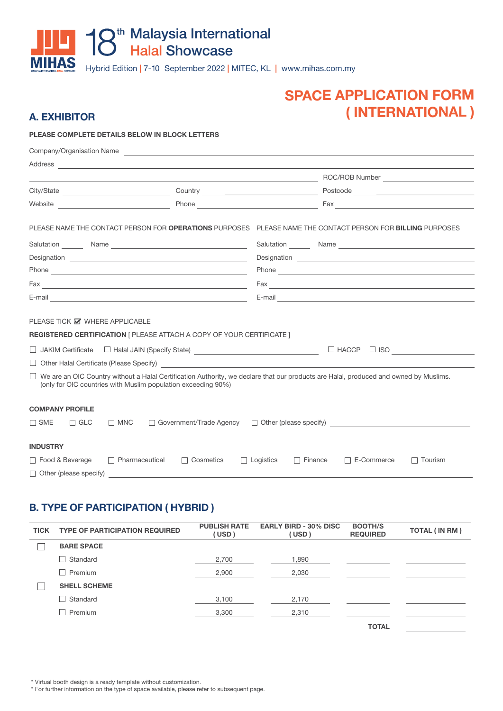# **THE 18<sup>th</sup> Malaysia International MIHAS** Hybrid Edition | 7-10 September 2022 | MITEC, KL | www.mihas.com.my

# **SPACE APPLICATION FORM** (INTERNATIONAL)

### **A. EXHIBITOR**

### PLEASE COMPLETE DETAILS BELOW IN BLOCK LETTERS

|                                        | Company/Organisation Name                                                                                                                                       |                                                                                                                                                                                                                                |  |  |
|----------------------------------------|-----------------------------------------------------------------------------------------------------------------------------------------------------------------|--------------------------------------------------------------------------------------------------------------------------------------------------------------------------------------------------------------------------------|--|--|
|                                        | Address <u>experience</u>                                                                                                                                       |                                                                                                                                                                                                                                |  |  |
|                                        |                                                                                                                                                                 |                                                                                                                                                                                                                                |  |  |
|                                        |                                                                                                                                                                 |                                                                                                                                                                                                                                |  |  |
|                                        |                                                                                                                                                                 | Phone example and the state of the state of the state of the state of the state of the state of the state of the state of the state of the state of the state of the state of the state of the state of the state of the state |  |  |
|                                        |                                                                                                                                                                 | PLEASE NAME THE CONTACT PERSON FOR OPERATIONS PURPOSES PLEASE NAME THE CONTACT PERSON FOR BILLING PURPOSES                                                                                                                     |  |  |
|                                        |                                                                                                                                                                 |                                                                                                                                                                                                                                |  |  |
|                                        |                                                                                                                                                                 | Designation <b>Designation</b>                                                                                                                                                                                                 |  |  |
|                                        |                                                                                                                                                                 | Phone experience and the second state of the second state of the second state of the second state of the second state of the second state of the second state of the second state of the second state of the second state of t |  |  |
|                                        |                                                                                                                                                                 | $\mathsf{Fax}$ $\qquad \qquad$                                                                                                                                                                                                 |  |  |
|                                        |                                                                                                                                                                 |                                                                                                                                                                                                                                |  |  |
| PLEASE TICK Ø WHERE APPLICABLE         | <b>REGISTERED CERTIFICATION   PLEASE ATTACH A COPY OF YOUR CERTIFICATE  </b><br>□ JAKIM Certificate □ Halal JAIN (Specify State) ______________________________ | $\Box$ HACCP $\Box$ ISO $\Box$                                                                                                                                                                                                 |  |  |
|                                        | Other Halal Certificate (Please Specify)<br><u>Contract Conservation</u>                                                                                        |                                                                                                                                                                                                                                |  |  |
|                                        | (only for OIC countries with Muslim population exceeding 90%)                                                                                                   | $\Box$ We are an OIC Country without a Halal Certification Authority, we declare that our products are Halal, produced and owned by Muslims.                                                                                   |  |  |
| <b>COMPANY PROFILE</b>                 |                                                                                                                                                                 |                                                                                                                                                                                                                                |  |  |
| $\Box$ SME<br>$\Box$ GLC<br>$\Box$ MNC |                                                                                                                                                                 | □ Government/Trade Agency □ Other (please specify) ____________________________                                                                                                                                                |  |  |
| <b>INDUSTRY</b>                        |                                                                                                                                                                 |                                                                                                                                                                                                                                |  |  |
| □ Food & Beverage                      | □ Pharmaceutical<br>□ Cosmetics                                                                                                                                 | $\Box$ Logistics<br>$\Box$ Finance<br>E-Commerce<br>$\Box$ Tourism                                                                                                                                                             |  |  |
| $\Box$ Other (please specify)          |                                                                                                                                                                 |                                                                                                                                                                                                                                |  |  |

## **B. TYPE OF PARTICIPATION (HYBRID)**

| <b>TICK</b> | <b>TYPE OF PARTICIPATION REQUIRED</b> | <b>PUBLISH RATE</b><br>(USD) | <b>EARLY BIRD - 30% DISC</b><br>(USD) | <b>BOOTH/S</b><br><b>REQUIRED</b> | <b>TOTAL (IN RM)</b> |
|-------------|---------------------------------------|------------------------------|---------------------------------------|-----------------------------------|----------------------|
|             | <b>BARE SPACE</b>                     |                              |                                       |                                   |                      |
|             | Standard                              | 2,700                        | 1.890                                 |                                   |                      |
|             | Premium                               | 2,900                        | 2,030                                 |                                   |                      |
|             | <b>SHELL SCHEME</b>                   |                              |                                       |                                   |                      |
|             | Standard                              | 3,100                        | 2,170                                 |                                   |                      |
|             | Premium                               | 3,300                        | 2,310                                 |                                   |                      |
|             |                                       |                              |                                       | <b>TOTAL</b>                      |                      |

\* Virtual booth design is a ready template without customization.

\* For further information on the type of space available, please refer to subsequent page.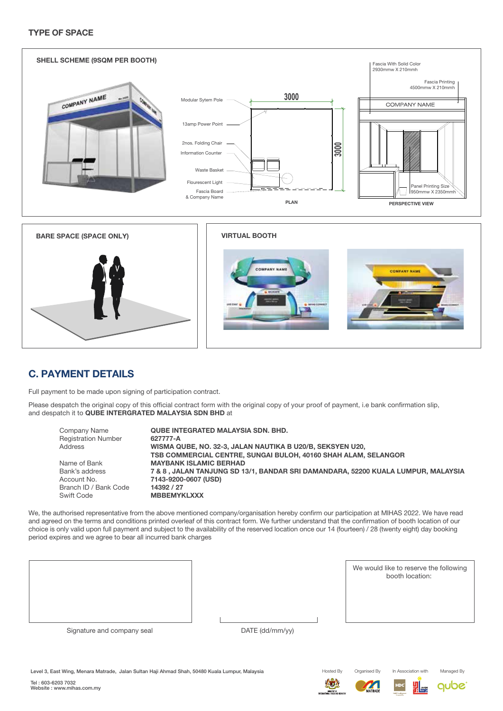### **TYPE OF SPACE**



## **C. PAYMENT DETAILS**

Full payment to be made upon signing of participation contract.

Please despatch the original copy of this official contract form with the original copy of your proof of payment, i.e bank confirmation slip, and despatch it to QUBE INTERGRATED MALAYSIA SDN BHD at

| Company Name<br><b>Registration Number</b> | <b>QUBE INTEGRATED MALAYSIA SDN, BHD.</b><br>627777-A                            |
|--------------------------------------------|----------------------------------------------------------------------------------|
| <b>Address</b>                             | WISMA QUBE, NO. 32-3, JALAN NAUTIKA B U20/B, SEKSYEN U20,                        |
|                                            | TSB COMMERCIAL CENTRE, SUNGAI BULOH, 40160 SHAH ALAM, SELANGOR                   |
| Name of Bank                               | <b>MAYBANK ISLAMIC BERHAD</b>                                                    |
| Bank's address                             | 7 & 8, JALAN TANJUNG SD 13/1, BANDAR SRI DAMANDARA, 52200 KUALA LUMPUR, MALAYSIA |
| Account No.                                | 7143-9200-0607 (USD)                                                             |
| Branch ID / Bank Code                      | 14392 / 27                                                                       |
| Swift Code                                 | <b>MBBEMYKLXXX</b>                                                               |

We, the authorised representative from the above mentioned company/organisation hereby confirm our participation at MIHAS 2022. We have read and agreed on the terms and conditions printed overleaf of this contract form. We further understand that the confirmation of booth location of our choice is only valid upon full payment and subject to the availability of the reserved location once our 14 (fourteen) / 28 (twenty eight) day booking period expires and we agree to bear all incurred bank charges

We would like to reserve the following booth location:

In Association with

Signature and company seal

DATE (dd/mm/yy)

Level 3, East Wing, Menara Matrade, Jalan Sultan Haji Ahmad Shah, 50480 Kuala Lumpur, Malaysia

Hosted By **ATA** 



Organised By





Managed By